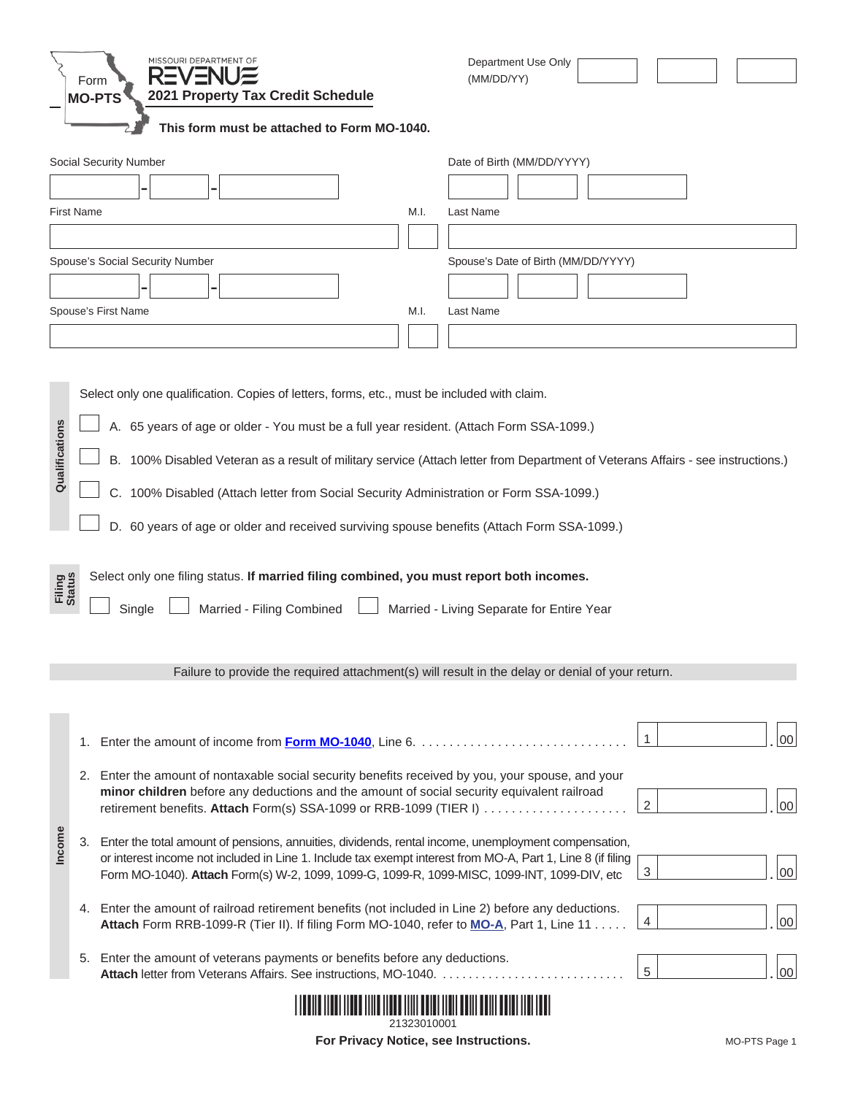|                                                                                                                                                                                                                                                                                                                                                                                                                                                                                                                                                                                                                                                                                                                                                      | Form              | MISSOURI DEPARTMENT OF<br>2021 Property Tax Credit Schedule<br><b>MO-PTS</b><br>This form must be attached to Form MO-1040.                                                                                                                                                                                       | Department Use Only<br>(MM/DD/YY)   |  |  |  |  |
|------------------------------------------------------------------------------------------------------------------------------------------------------------------------------------------------------------------------------------------------------------------------------------------------------------------------------------------------------------------------------------------------------------------------------------------------------------------------------------------------------------------------------------------------------------------------------------------------------------------------------------------------------------------------------------------------------------------------------------------------------|-------------------|-------------------------------------------------------------------------------------------------------------------------------------------------------------------------------------------------------------------------------------------------------------------------------------------------------------------|-------------------------------------|--|--|--|--|
|                                                                                                                                                                                                                                                                                                                                                                                                                                                                                                                                                                                                                                                                                                                                                      |                   | Social Security Number                                                                                                                                                                                                                                                                                            | Date of Birth (MM/DD/YYYY)          |  |  |  |  |
|                                                                                                                                                                                                                                                                                                                                                                                                                                                                                                                                                                                                                                                                                                                                                      | <b>First Name</b> | M.I.                                                                                                                                                                                                                                                                                                              | Last Name                           |  |  |  |  |
|                                                                                                                                                                                                                                                                                                                                                                                                                                                                                                                                                                                                                                                                                                                                                      |                   |                                                                                                                                                                                                                                                                                                                   |                                     |  |  |  |  |
|                                                                                                                                                                                                                                                                                                                                                                                                                                                                                                                                                                                                                                                                                                                                                      |                   | Spouse's Social Security Number                                                                                                                                                                                                                                                                                   | Spouse's Date of Birth (MM/DD/YYYY) |  |  |  |  |
|                                                                                                                                                                                                                                                                                                                                                                                                                                                                                                                                                                                                                                                                                                                                                      |                   |                                                                                                                                                                                                                                                                                                                   |                                     |  |  |  |  |
|                                                                                                                                                                                                                                                                                                                                                                                                                                                                                                                                                                                                                                                                                                                                                      |                   |                                                                                                                                                                                                                                                                                                                   |                                     |  |  |  |  |
|                                                                                                                                                                                                                                                                                                                                                                                                                                                                                                                                                                                                                                                                                                                                                      |                   | Spouse's First Name<br>M.I.                                                                                                                                                                                                                                                                                       | Last Name                           |  |  |  |  |
|                                                                                                                                                                                                                                                                                                                                                                                                                                                                                                                                                                                                                                                                                                                                                      |                   |                                                                                                                                                                                                                                                                                                                   |                                     |  |  |  |  |
| Qualifications<br>A. 65 years of age or older - You must be a full year resident. (Attach Form SSA-1099.)<br>B. 100% Disabled Veteran as a result of military service (Attach letter from Department of Veterans Affairs - see instructions.)<br>C. 100% Disabled (Attach letter from Social Security Administration or Form SSA-1099.)<br>D. 60 years of age or older and received surviving spouse benefits (Attach Form SSA-1099.)<br>Select only one filing status. If married filing combined, you must report both incomes.<br><b>Filing</b><br>Status<br>Married - Filing Combined<br>Married - Living Separate for Entire Year<br>Single<br>Failure to provide the required attachment(s) will result in the delay or denial of your return. |                   |                                                                                                                                                                                                                                                                                                                   |                                     |  |  |  |  |
|                                                                                                                                                                                                                                                                                                                                                                                                                                                                                                                                                                                                                                                                                                                                                      |                   |                                                                                                                                                                                                                                                                                                                   |                                     |  |  |  |  |
|                                                                                                                                                                                                                                                                                                                                                                                                                                                                                                                                                                                                                                                                                                                                                      |                   | 1. Enter the amount of income from <b>Form MO-1040</b> , Line 6.                                                                                                                                                                                                                                                  | $\mathbf{1}$<br>$00\,$              |  |  |  |  |
|                                                                                                                                                                                                                                                                                                                                                                                                                                                                                                                                                                                                                                                                                                                                                      |                   | 2. Enter the amount of nontaxable social security benefits received by you, your spouse, and your<br>minor children before any deductions and the amount of social security equivalent railroad<br>retirement benefits. Attach Form(s) SSA-1099 or RRB-1099 (TIER I)                                              | 2<br>00 <sup>1</sup>                |  |  |  |  |
| Income                                                                                                                                                                                                                                                                                                                                                                                                                                                                                                                                                                                                                                                                                                                                               | 3.                | Enter the total amount of pensions, annuities, dividends, rental income, unemployment compensation,<br>or interest income not included in Line 1. Include tax exempt interest from MO-A, Part 1, Line 8 (if filing<br>Form MO-1040). Attach Form(s) W-2, 1099, 1099-G, 1099-R, 1099-MISC, 1099-INT, 1099-DIV, etc | $\mathbf{3}$<br>00 <sup>1</sup>     |  |  |  |  |
|                                                                                                                                                                                                                                                                                                                                                                                                                                                                                                                                                                                                                                                                                                                                                      |                   | 4. Enter the amount of railroad retirement benefits (not included in Line 2) before any deductions.<br>Attach Form RRB-1099-R (Tier II). If filing Form MO-1040, refer to MO-A, Part 1, Line 11                                                                                                                   | $\overline{4}$<br>00 <sup>1</sup>   |  |  |  |  |
|                                                                                                                                                                                                                                                                                                                                                                                                                                                                                                                                                                                                                                                                                                                                                      |                   | 5. Enter the amount of veterans payments or benefits before any deductions.<br>Attach letter from Veterans Affairs. See instructions, MO-1040.                                                                                                                                                                    | $5\phantom{.0}$<br>$00\,$           |  |  |  |  |
|                                                                                                                                                                                                                                                                                                                                                                                                                                                                                                                                                                                                                                                                                                                                                      |                   |                                                                                                                                                                                                                                                                                                                   |                                     |  |  |  |  |

**For Privacy Notice, see Instructions.** MO-PTS Page 1 21323010001